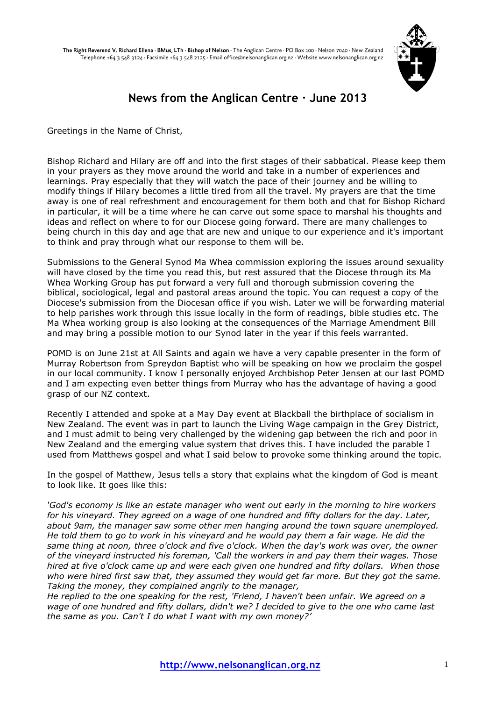

# **News from the Anglican Centre · June 2013**

Greetings in the Name of Christ,

Bishop Richard and Hilary are off and into the first stages of their sabbatical. Please keep them in your prayers as they move around the world and take in a number of experiences and learnings. Pray especially that they will watch the pace of their journey and be willing to modify things if Hilary becomes a little tired from all the travel. My prayers are that the time away is one of real refreshment and encouragement for them both and that for Bishop Richard in particular, it will be a time where he can carve out some space to marshal his thoughts and ideas and reflect on where to for our Diocese going forward. There are many challenges to being church in this day and age that are new and unique to our experience and it's important to think and pray through what our response to them will be.

Submissions to the General Synod Ma Whea commission exploring the issues around sexuality will have closed by the time you read this, but rest assured that the Diocese through its Ma Whea Working Group has put forward a very full and thorough submission covering the biblical, sociological, legal and pastoral areas around the topic. You can request a copy of the Diocese's submission from the Diocesan office if you wish. Later we will be forwarding material to help parishes work through this issue locally in the form of readings, bible studies etc. The Ma Whea working group is also looking at the consequences of the Marriage Amendment Bill and may bring a possible motion to our Synod later in the year if this feels warranted.

POMD is on June 21st at All Saints and again we have a very capable presenter in the form of Murray Robertson from Spreydon Baptist who will be speaking on how we proclaim the gospel in our local community. I know I personally enjoyed Archbishop Peter Jensen at our last POMD and I am expecting even better things from Murray who has the advantage of having a good grasp of our NZ context.

Recently I attended and spoke at a May Day event at Blackball the birthplace of socialism in New Zealand. The event was in part to launch the Living Wage campaign in the Grey District, and I must admit to being very challenged by the widening gap between the rich and poor in New Zealand and the emerging value system that drives this. I have included the parable I used from Matthews gospel and what I said below to provoke some thinking around the topic.

In the gospel of Matthew, Jesus tells a story that explains what the kingdom of God is meant to look like. It goes like this:

*'God's economy is like an estate manager who went out early in the morning to hire workers for his vineyard. They agreed on a wage of one hundred and fifty dollars for the day. Later, about 9am, the manager saw some other men hanging around the town square unemployed. He told them to go to work in his vineyard and he would pay them a fair wage. He did the same thing at noon, three o'clock and five o'clock. When the day's work was over, the owner of the vineyard instructed his foreman, 'Call the workers in and pay them their wages. Those hired at five o'clock came up and were each given one hundred and fifty dollars. When those who were hired first saw that, they assumed they would get far more. But they got the same. Taking the money, they complained angrily to the manager,*

*He replied to the one speaking for the rest, 'Friend, I haven't been unfair. We agreed on a wage of one hundred and fifty dollars, didn't we? I decided to give to the one who came last the same as you. Can't I do what I want with my own money?'*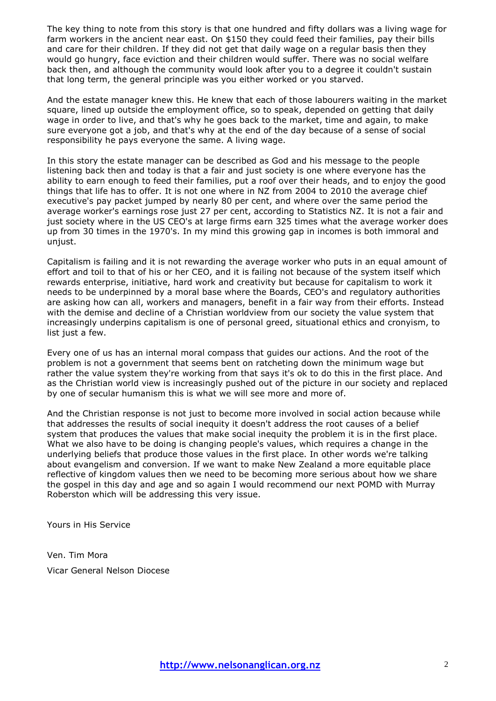The key thing to note from this story is that one hundred and fifty dollars was a living wage for farm workers in the ancient near east. On \$150 they could feed their families, pay their bills and care for their children. If they did not get that daily wage on a regular basis then they would go hungry, face eviction and their children would suffer. There was no social welfare back then, and although the community would look after you to a degree it couldn't sustain that long term, the general principle was you either worked or you starved.

And the estate manager knew this. He knew that each of those labourers waiting in the market square, lined up outside the employment office, so to speak, depended on getting that daily wage in order to live, and that's why he goes back to the market, time and again, to make sure everyone got a job, and that's why at the end of the day because of a sense of social responsibility he pays everyone the same. A living wage.

In this story the estate manager can be described as God and his message to the people listening back then and today is that a fair and just society is one where everyone has the ability to earn enough to feed their families, put a roof over their heads, and to enjoy the good things that life has to offer. It is not one where in NZ from 2004 to 2010 the average chief executive's pay packet jumped by nearly 80 per cent, and where over the same period the average worker's earnings rose just 27 per cent, according to Statistics NZ. It is not a fair and just society where in the US CEO's at large firms earn 325 times what the average worker does up from 30 times in the 1970's. In my mind this growing gap in incomes is both immoral and unjust.

Capitalism is failing and it is not rewarding the average worker who puts in an equal amount of effort and toil to that of his or her CEO, and it is failing not because of the system itself which rewards enterprise, initiative, hard work and creativity but because for capitalism to work it needs to be underpinned by a moral base where the Boards, CEO's and regulatory authorities are asking how can all, workers and managers, benefit in a fair way from their efforts. Instead with the demise and decline of a Christian worldview from our society the value system that increasingly underpins capitalism is one of personal greed, situational ethics and cronyism, to list just a few.

Every one of us has an internal moral compass that guides our actions. And the root of the problem is not a government that seems bent on ratcheting down the minimum wage but rather the value system they're working from that says it's ok to do this in the first place. And as the Christian world view is increasingly pushed out of the picture in our society and replaced by one of secular humanism this is what we will see more and more of.

And the Christian response is not just to become more involved in social action because while that addresses the results of social inequity it doesn't address the root causes of a belief system that produces the values that make social inequity the problem it is in the first place. What we also have to be doing is changing people's values, which requires a change in the underlying beliefs that produce those values in the first place. In other words we're talking about evangelism and conversion. If we want to make New Zealand a more equitable place reflective of kingdom values then we need to be becoming more serious about how we share the gospel in this day and age and so again I would recommend our next POMD with Murray Roberston which will be addressing this very issue.

Yours in His Service

Ven. Tim Mora Vicar General Nelson Diocese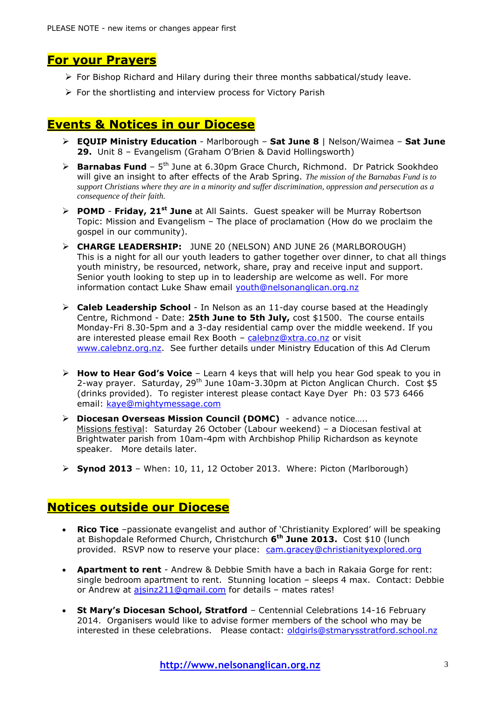## **For your Prayers**

- $\triangleright$  For Bishop Richard and Hilary during their three months sabbatical/study leave.
- $\triangleright$  For the shortlisting and interview process for Victory Parish

# **Events & Notices in our Diocese**

- **EQUIP Ministry Education** Marlborough **Sat June 8** | Nelson/Waimea **Sat June 29.** Unit 8 – Evangelism (Graham O'Brien & David Hollingsworth)
- **▶ Barnabas Fund** 5<sup>th</sup> June at 6.30pm Grace Church, Richmond. Dr Patrick Sookhdeo will give an insight to after effects of the Arab Spring. *The mission of the Barnabas Fund is to support Christians where they are in a minority and suffer discrimination, oppression and persecution as a consequence of their faith.*
- **POMD Friday, 21st June** at All Saints. Guest speaker will be Murray Robertson Topic: Mission and Evangelism – The place of proclamation (How do we proclaim the gospel in our community).
- **CHARGE LEADERSHIP:** JUNE 20 (NELSON) AND JUNE 26 (MARLBOROUGH) This is a night for all our youth leaders to gather together over dinner, to chat all things youth ministry, be resourced, network, share, pray and receive input and support. Senior youth looking to step up in to leadership are welcome as well. For more information contact Luke Shaw email [youth@nelsonanglican.org.nz](mailto:youth@nelsonanglican.org.nz)
- **Caleb Leadership School** In Nelson as an 11-day course based at the Headingly Centre, Richmond - Date: **25th June to 5th July,** cost \$1500. The course entails Monday-Fri 8.30-5pm and a 3-day residential camp over the middle weekend. If you are interested please email Rex Booth - [calebnz@xtra.co.nz](mailto:calebnz@xtra.co.nz) or visit [www.calebnz.org.nz.](http://www.calebnz.org.nz/) See further details under Ministry Education of this Ad Clerum
- **How to Hear God's Voice** Learn 4 keys that will help you hear God speak to you in 2-way prayer. Saturday, 29<sup>th</sup> June 10am-3.30pm at Picton Anglican Church. Cost \$5 (drinks provided). To register interest please contact Kaye Dyer Ph: 03 573 6466 email: [kaye@mightymessage.com](mailto:kaye@mightymessage.com)
- **Diocesan Overseas Mission Council (DOMC)**  advance notice….. Missions festival: Saturday 26 October (Labour weekend) – a Diocesan festival at Brightwater parish from 10am-4pm with Archbishop Philip Richardson as keynote speaker. More details later.
- **Synod 2013** When: 10, 11, 12 October 2013. Where: Picton (Marlborough)

# **Notices outside our Diocese**

- **Rico Tice** –passionate evangelist and author of 'Christianity Explored' will be speaking at Bishopdale Reformed Church, Christchurch **6 th June 2013.** Cost \$10 (lunch provided. RSVP now to reserve your place: [cam.gracey@christianityexplored.org](mailto:cam.gracey@christianityexplored.org)
- **Apartment to rent** Andrew & Debbie Smith have a bach in Rakaia Gorge for rent: single bedroom apartment to rent. Stunning location – sleeps 4 max. Contact: Debbie or Andrew at [ajsinz211@gmail.com](mailto:ajsinz211@gmail.com) for details - mates rates!
- **St Mary's Diocesan School, Stratford** Centennial Celebrations 14-16 February 2014. Organisers would like to advise former members of the school who may be interested in these celebrations. Please contact: [oldgirls@stmarysstratford.school.nz](mailto:oldgirls@stmarysstratford.school.nz)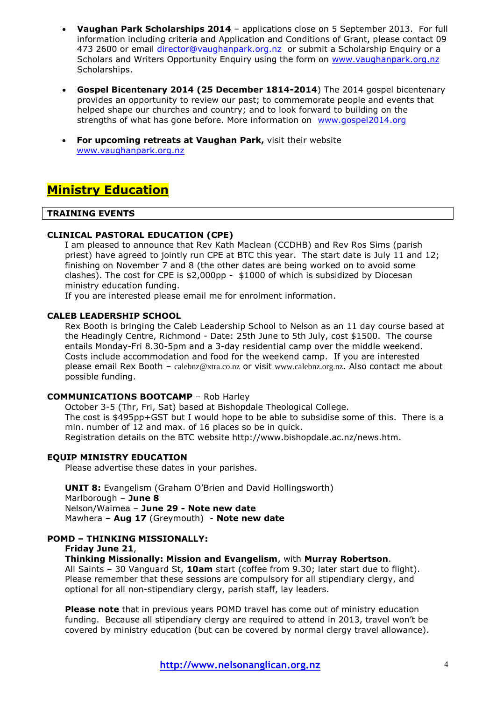- **Vaughan Park Scholarships 2014** applications close on 5 September 2013. For full information including criteria and Application and Conditions of Grant, please contact 09 473 2600 or email [director@vaughanpark.org.nz](mailto:director@vaughanpark.org.nz) or submit a Scholarship Enquiry or a Scholars and Writers Opportunity Enquiry using the form on [www.vaughanpark.org.nz](http://www.vaughanpark.org.nz/) Scholarships.
- **Gospel Bicentenary 2014 (25 December 1814-2014**) The 2014 gospel bicentenary provides an opportunity to review our past; to commemorate people and events that helped shape our churches and country; and to look forward to building on the strengths of what has gone before. More information on [www.gospel2014.org](http://www.gospel2014.org/)
- **For upcoming retreats at Vaughan Park,** visit their website [www.vaughanpark.org.nz](http://www.vaughanpark.org.nz/)

# **Ministry Education**

#### **TRAINING EVENTS**

### **CLINICAL PASTORAL EDUCATION (CPE)**

I am pleased to announce that Rev Kath Maclean (CCDHB) and Rev Ros Sims (parish priest) have agreed to jointly run CPE at BTC this year. The start date is July 11 and 12; finishing on November 7 and 8 (the other dates are being worked on to avoid some clashes). The cost for CPE is \$2,000pp - \$1000 of which is subsidized by Diocesan ministry education funding.

If you are interested please email me for enrolment information.

### **CALEB LEADERSHIP SCHOOL**

Rex Booth is bringing the Caleb Leadership School to Nelson as an 11 day course based at the Headingly Centre, Richmond - Date: 25th June to 5th July, cost \$1500. The course entails Monday-Fri 8.30-5pm and a 3-day residential camp over the middle weekend. Costs include accommodation and food for the weekend camp. If you are interested please email Rex Booth – [calebnz@xtra.co.nz](mailto:calebnz@xtra.co.nz) or visit [www.calebnz.org.nz](http://www.calebnz.org.nz/). Also contact me about possible funding.

#### **COMMUNICATIONS BOOTCAMP** – Rob Harley

October 3-5 (Thr, Fri, Sat) based at Bishopdale Theological College. The cost is \$495pp+GST but I would hope to be able to subsidise some of this. There is a min. number of 12 and max. of 16 places so be in quick. Registration details on the BTC website http://www.bishopdale.ac.nz/news.htm.

#### **EQUIP MINISTRY EDUCATION**

Please advertise these dates in your parishes.

**UNIT 8:** Evangelism (Graham O'Brien and David Hollingsworth) Marlborough – **June 8** Nelson/Waimea – **June 29 - Note new date** Mawhera – **Aug 17** (Greymouth) - **Note new date**

# **POMD – THINKING MISSIONALLY:**

## **Friday June 21**,

#### **Thinking Missionally: Mission and Evangelism**, with **Murray Robertson**.

All Saints – 30 Vanguard St, **10am** start (coffee from 9.30; later start due to flight). Please remember that these sessions are compulsory for all stipendiary clergy, and optional for all non-stipendiary clergy, parish staff, lay leaders.

**Please note** that in previous years POMD travel has come out of ministry education funding. Because all stipendiary clergy are required to attend in 2013, travel won't be covered by ministry education (but can be covered by normal clergy travel allowance).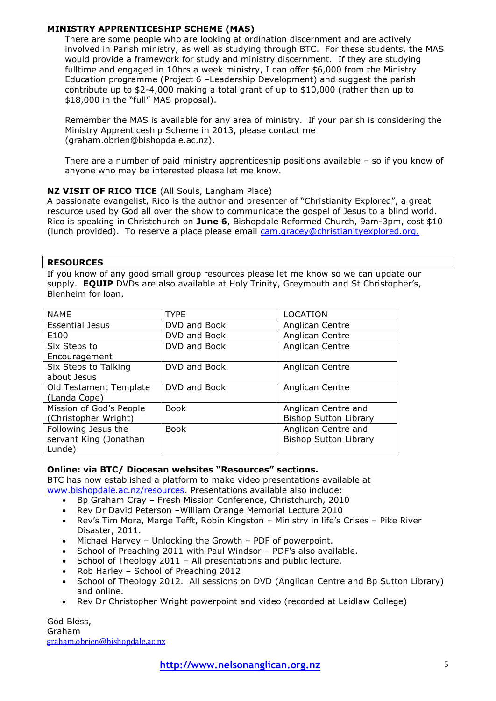## **MINISTRY APPRENTICESHIP SCHEME (MAS)**

There are some people who are looking at ordination discernment and are actively involved in Parish ministry, as well as studying through BTC. For these students, the MAS would provide a framework for study and ministry discernment. If they are studying fulltime and engaged in 10hrs a week ministry, I can offer \$6,000 from the Ministry Education programme (Project 6 –Leadership Development) and suggest the parish contribute up to \$2-4,000 making a total grant of up to \$10,000 (rather than up to \$18,000 in the "full" MAS proposal).

Remember the MAS is available for any area of ministry. If your parish is considering the Ministry Apprenticeship Scheme in 2013, please contact me (graham.obrien@bishopdale.ac.nz).

There are a number of paid ministry apprenticeship positions available – so if you know of anyone who may be interested please let me know.

## **NZ VISIT OF RICO TICE** (All Souls, Langham Place)

A passionate evangelist, Rico is the author and presenter of "Christianity Explored", a great resource used by God all over the show to communicate the gospel of Jesus to a blind world. Rico is speaking in Christchurch on **June 6**, Bishopdale Reformed Church, 9am-3pm, cost \$10 (lunch provided). To reserve a place please email [cam.gracey@christianityexplored.org.](file:///C:/Users/AnitaJ/AppData/Local/Microsoft/Windows/Temporary%20Internet%20Files/Content.Outlook/CRP7HJHG/cam.gracey@christianityexplored.org)

### **RESOURCES**

If you know of any good small group resources please let me know so we can update our supply. **EQUIP** DVDs are also available at Holy Trinity, Greymouth and St Christopher's, Blenheim for loan.

| <b>NAME</b>             | TYPE         | <b>LOCATION</b>              |
|-------------------------|--------------|------------------------------|
| <b>Essential Jesus</b>  | DVD and Book | Anglican Centre              |
| E100                    | DVD and Book | Anglican Centre              |
| Six Steps to            | DVD and Book | Anglican Centre              |
| Encouragement           |              |                              |
| Six Steps to Talking    | DVD and Book | Anglican Centre              |
| about Jesus             |              |                              |
| Old Testament Template  | DVD and Book | Anglican Centre              |
| (Landa Cope)            |              |                              |
| Mission of God's People | <b>Book</b>  | Anglican Centre and          |
| (Christopher Wright)    |              | <b>Bishop Sutton Library</b> |
| Following Jesus the     | <b>Book</b>  | Anglican Centre and          |
| servant King (Jonathan  |              | <b>Bishop Sutton Library</b> |
| Lunde)                  |              |                              |

## **Online: via BTC/ Diocesan websites "Resources" sections.**

BTC has now established a platform to make video presentations available at [www.bishopdale.ac.nz/resources.](http://www.bishopdale.ac.nz/resources) Presentations available also include:

- Bp Graham Cray Fresh Mission Conference, Christchurch, 2010
- Rev Dr David Peterson –William Orange Memorial Lecture 2010
- Rev's Tim Mora, Marge Tefft, Robin Kingston Ministry in life's Crises Pike River Disaster, 2011.
- Michael Harvey Unlocking the Growth PDF of powerpoint.
- School of Preaching 2011 with Paul Windsor PDF's also available.
- School of Theology 2011 All presentations and public lecture.
- Rob Harley School of Preaching 2012
- School of Theology 2012. All sessions on DVD (Anglican Centre and Bp Sutton Library) and online.
- Rev Dr Christopher Wright powerpoint and video (recorded at Laidlaw College)

God Bless, Graham [graham.obrien@bishopdale.ac.nz](mailto:graham.obrien@bishopdale.ac.nz)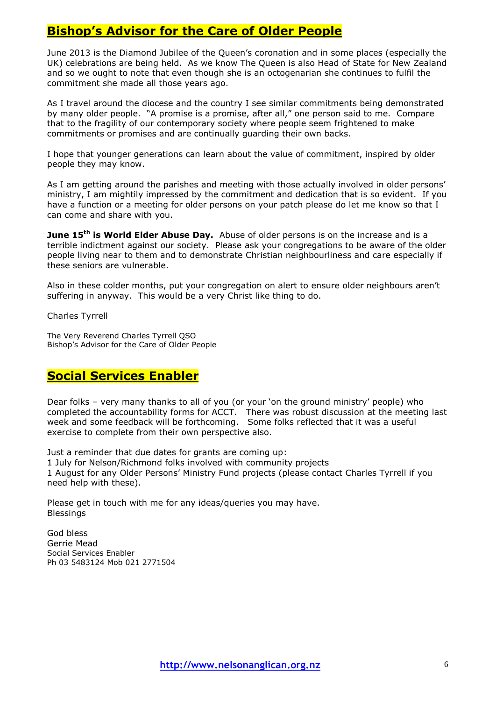# **Bishop's Advisor for the Care of Older People**

June 2013 is the Diamond Jubilee of the Queen's coronation and in some places (especially the UK) celebrations are being held. As we know The Queen is also Head of State for New Zealand and so we ought to note that even though she is an octogenarian she continues to fulfil the commitment she made all those years ago.

As I travel around the diocese and the country I see similar commitments being demonstrated by many older people. "A promise is a promise, after all," one person said to me. Compare that to the fragility of our contemporary society where people seem frightened to make commitments or promises and are continually guarding their own backs.

I hope that younger generations can learn about the value of commitment, inspired by older people they may know.

As I am getting around the parishes and meeting with those actually involved in older persons' ministry, I am mightily impressed by the commitment and dedication that is so evident. If you have a function or a meeting for older persons on your patch please do let me know so that I can come and share with you.

**June 15th is World Elder Abuse Day.** Abuse of older persons is on the increase and is a terrible indictment against our society. Please ask your congregations to be aware of the older people living near to them and to demonstrate Christian neighbourliness and care especially if these seniors are vulnerable.

Also in these colder months, put your congregation on alert to ensure older neighbours aren't suffering in anyway. This would be a very Christ like thing to do.

Charles Tyrrell

The Very Reverend Charles Tyrrell QSO Bishop's Advisor for the Care of Older People

# **Social Services Enabler**

Dear folks – very many thanks to all of you (or your 'on the ground ministry' people) who completed the accountability forms for ACCT. There was robust discussion at the meeting last week and some feedback will be forthcoming. Some folks reflected that it was a useful exercise to complete from their own perspective also.

Just a reminder that due dates for grants are coming up: 1 July for Nelson/Richmond folks involved with community projects 1 August for any Older Persons' Ministry Fund projects (please contact Charles Tyrrell if you need help with these).

Please get in touch with me for any ideas/queries you may have. Blessings

God bless Gerrie Mead Social Services Enabler Ph 03 5483124 Mob 021 2771504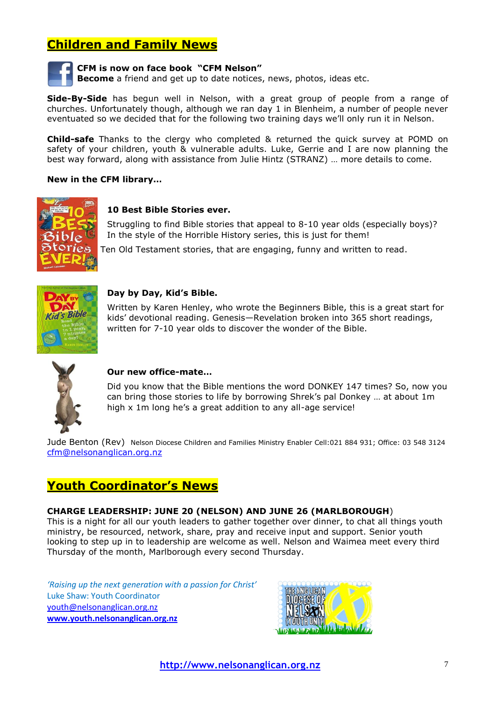# **Children and Family News**



### **CFM is now on face book "CFM Nelson"**

**Become** a friend and get up to date notices, news, photos, ideas etc.

**Side-By-Side** has begun well in Nelson, with a great group of people from a range of churches. Unfortunately though, although we ran day 1 in Blenheim, a number of people never eventuated so we decided that for the following two training days we'll only run it in Nelson.

**Child-safe** Thanks to the clergy who completed & returned the quick survey at POMD on safety of your children, youth & vulnerable adults. Luke, Gerrie and I are now planning the best way forward, along with assistance from Julie Hintz (STRANZ) … more details to come.

#### **New in the CFM library…**



### **10 Best Bible Stories ever.**

Struggling to find Bible stories that appeal to 8-10 year olds (especially boys)? In the style of the Horrible History series, this is just for them!

tories Ten Old Testament stories, that are engaging, funny and written to read.



#### **Day by Day, Kid's Bible.**

Written by Karen Henley, who wrote the Beginners Bible, this is a great start for kids' devotional reading. Genesis—Revelation broken into 365 short readings, written for 7-10 year olds to discover the wonder of the Bible.



### **Our new office-mate…**

Did you know that the Bible mentions the word DONKEY 147 times? So, now you can bring those stories to life by borrowing Shrek's pal Donkey … at about 1m high x 1m long he's a great addition to any all-age service!

Jude Benton (Rev) Nelson Diocese Children and Families Ministry Enabler Cell:021 884 931; Office: 03 548 3124 [cfm@nelsonanglican.org.nz](mailto:cfm@nelsonanglican.org.nz)

# **Youth Coordinator's News**

#### **CHARGE LEADERSHIP: JUNE 20 (NELSON) AND JUNE 26 (MARLBOROUGH**)

This is a night for all our youth leaders to gather together over dinner, to chat all things youth ministry, be resourced, network, share, pray and receive input and support. Senior youth looking to step up in to leadership are welcome as well. Nelson and Waimea meet every third Thursday of the month, Marlborough every second Thursday.

*'Raising up the next generation with a passion for Christ'* Luke Shaw: Youth Coordinator [youth@nelsonanglican.org.nz](mailto:youth@nelsonanglican.org.nz) **[www.youth.nelsonanglican.org.nz](http://www.youth.nelsonanglican.org.nz/)**